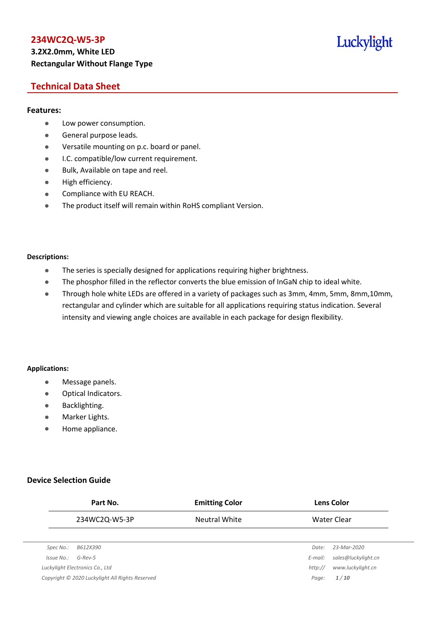## **3.2X2.0mm, White LED Rectangular Without Flange Type**

# Luckylight

## **Technical Data Sheet**

#### **Features:**

- **•** Low power consumption.
- **General purpose leads.**
- Versatile mounting on p.c. board or panel.
- **I.C. compatible/low current requirement.**
- Bulk, Available on tape and reel.
- $\bullet$  High efficiency.
- **•** Compliance with EU REACH.
- The product itself will remain within RoHS compliant Version.

#### **Descriptions:**

- The series is specially designed for applications requiring higher brightness.
- The phosphor filled in the reflector converts the blue emission of InGaN chip to ideal white.
- Through hole white LEDs are offered in a variety of packages such as 3mm, 4mm, 5mm, 8mm,10mm, rectangular and cylinder which are suitable for all applications requiring status indication. Several intensity and viewing angle choices are available in each package for design flexibility.

#### **Applications:**

- **•** Message panels.
- Optical Indicators.
- Backlighting.
- Marker Lights.
- Home appliance.

### **Device Selection Guide**

|            | Part No.                                        | <b>Emitting Color</b> |         | <b>Lens Color</b>   |
|------------|-------------------------------------------------|-----------------------|---------|---------------------|
|            | 234WC2Q-W5-3P                                   | Neutral White         |         | Water Clear         |
|            |                                                 |                       |         |                     |
| Spec No.:  | B612X390                                        |                       | Date:   | 23-Mar-2020         |
| Issue No.: | $G$ -Rev-5                                      |                       | E-mail: | sales@luckylight.cn |
|            | Luckylight Electronics Co., Ltd                 |                       | http:// | www.luckylight.cn   |
|            | Copyright © 2020 Luckylight All Rights Reserved |                       | Page:   | 1/10                |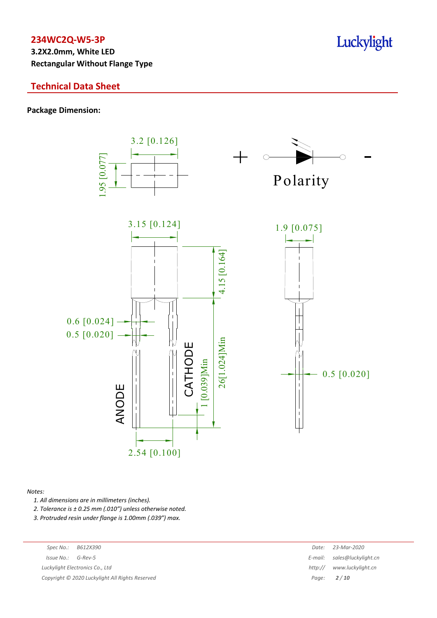**3.2X2.0mm, White LED Rectangular Without Flange Type**

## **Technical Data Sheet**

#### **Package Dimension:**



#### *Notes:*

*1. All dimensions are in millimeters (inches).*

*2. Tolerance is ± 0.25 mm (.010″) unless otherwise noted.*

*3. Protruded resin under flange is 1.00mm (.039″) max.*

*Luckylight Electronics Co., Ltd* 

*Copyright © 2020 Luckylight All Rights Reserved Page: 2 / 10*

| Spec No.:  | B612X390                                      | Date:   | 23-Mar-2020                 |
|------------|-----------------------------------------------|---------|-----------------------------|
| 'ssue No.: | G-Rev-5                                       |         | E-mail: sales@luckylight.cn |
|            | ckylight Electronics Co., Ltd                 | http:// | www.luckvliaht.cn           |
|            | pyright © 2020 Luckylight All Rights Reserved |         | Page: $2/10$                |

# Luckylight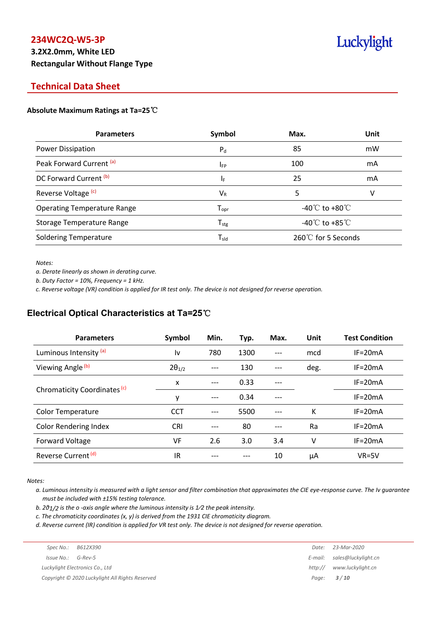# **3.2X2.0mm, White LED Rectangular Without Flange Type**

# Luckylight

## **Technical Data Sheet**

#### **Absolute Maximum Ratings at Ta=25**℃

| <b>Parameters</b>                  | Symbol             | Max.                                 | Unit |
|------------------------------------|--------------------|--------------------------------------|------|
| Power Dissipation                  | $P_{d}$            | 85                                   | mW   |
| Peak Forward Current (a)           | $I_{FP}$           | 100                                  | mA   |
| DC Forward Current <sup>(b)</sup>  | ΙF                 | 25                                   | mA   |
| Reverse Voltage <sup>(c)</sup>     | $V_{R}$            | 5                                    | v    |
| <b>Operating Temperature Range</b> | $T_{\mathsf{opr}}$ | -40 $\mathrm{C}$ to +80 $\mathrm{C}$ |      |
| <b>Storage Temperature Range</b>   | $T_{\text{stg}}$   | -40 $^{\circ}$ C to +85 $^{\circ}$ C |      |
| <b>Soldering Temperature</b>       | $T_{sld}$          | 260℃ for 5 Seconds                   |      |

*Notes:*

*a. Derate linearly as shown in derating curve.*

*b. Duty Factor = 10%, Frequency = 1 kHz.*

c. Reverse voltage (VR) condition is applied for IR test only. The device is not designed for reverse operation.

## **Electrical Optical Characteristics at Ta=25**℃

| <b>Parameters</b>              | Symbol          | Min. | Typ. | Max.  | Unit | <b>Test Condition</b> |
|--------------------------------|-----------------|------|------|-------|------|-----------------------|
| Luminous Intensity (a)         | l٧              | 780  | 1300 | $---$ | mcd  | $IF = 20mA$           |
| Viewing Angle (b)              | $2\theta_{1/2}$ |      | 130  |       | deg. | $IF = 20mA$           |
|                                | X               | ---  | 0.33 |       |      | $IF = 20mA$           |
| Chromaticity Coordinates (c)   | y               | ---  | 0.34 |       |      | $IF=20mA$             |
| <b>Color Temperature</b>       | <b>CCT</b>      |      | 5500 | $---$ | К    | $IF = 20mA$           |
| <b>Color Rendering Index</b>   | <b>CRI</b>      |      | 80   |       | Ra   | $IF = 20mA$           |
| Forward Voltage                | VF              | 2.6  | 3.0  | 3.4   | v    | $IF = 20mA$           |
| Reverse Current <sup>(d)</sup> | IR              |      |      | 10    | μA   | $VR=5V$               |

*Notes:*

a. Luminous intensity is measured with a light sensor and filter combination that approximates the CIE eye-response curve. The Iv guarantee *must be included with ±15% testing tolerance.*

*b. 2θ1/2 is the o -axis angle where the luminous intensity is 1⁄2 the peak intensity.*

*c. The chromaticity coordinates (x, y) is derived from the 1931 CIE chromaticity diagram.*

d. Reverse current (IR) condition is applied for VR test only. The device is not designed for reverse operation.

| Spec No.:              | B612X390                                        | Date:   | 23-Mar-2020                 |
|------------------------|-------------------------------------------------|---------|-----------------------------|
| $Is sue No.:  G-Rev-5$ |                                                 |         | E-mail: sales@luckylight.cn |
|                        | Luckylight Electronics Co., Ltd                 | http:// | www.luckylight.cn           |
|                        | Copyright © 2020 Luckylight All Rights Reserved |         | Page: <b>3/10</b>           |
|                        |                                                 |         |                             |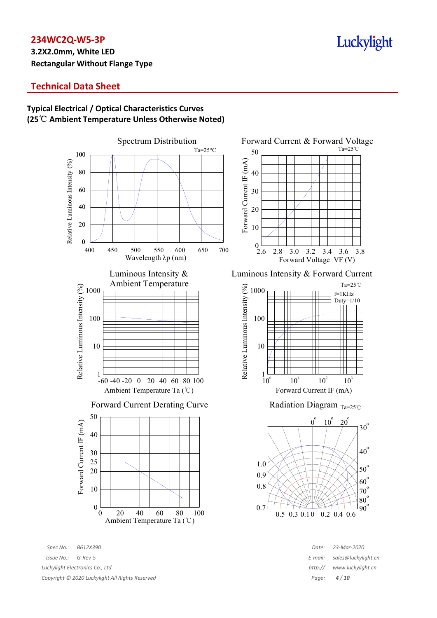## **3.2X2.0mm, White LED Rectangular Without Flange Type**

# Luckylight

## **Technical Data Sheet**

## **Typical Electrical / Optical Characteristics Curves (25**℃ **Ambient Temperature Unless Otherwise Noted)**



*Spec No.: B612X390 Date: 23-Mar-2020 Issue No.: G-Rev-5 E-mail: sales@luckylight.cn Luckylight Electronics Co., Ltd http:// www.luckylight.cn Copyright © 2020 Luckylight All Rights Reserved Page: 4 / 10*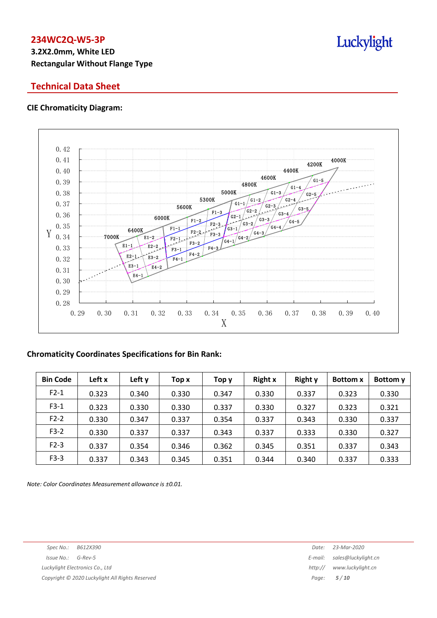# **3.2X2.0mm, White LED Rectangular Without Flange Type**

## **Technical Data Sheet**

#### **CIE Chromaticity Diagram:**



### **Chromaticity Coordinates Specifications for Bin Rank:**

| <b>Bin Code</b> | Left x | Left y | Top x | Top y | <b>Right x</b> | <b>Right y</b> | <b>Bottom</b> x | Bottom y |
|-----------------|--------|--------|-------|-------|----------------|----------------|-----------------|----------|
| $F2-1$          | 0.323  | 0.340  | 0.330 | 0.347 | 0.330          | 0.337          | 0.323           | 0.330    |
| $F3-1$          | 0.323  | 0.330  | 0.330 | 0.337 | 0.330          | 0.327          | 0.323           | 0.321    |
| $F2-2$          | 0.330  | 0.347  | 0.337 | 0.354 | 0.337          | 0.343          | 0.330           | 0.337    |
| $F3-2$          | 0.330  | 0.337  | 0.337 | 0.343 | 0.337          | 0.333          | 0.330           | 0.327    |
| $F2-3$          | 0.337  | 0.354  | 0.346 | 0.362 | 0.345          | 0.351          | 0.337           | 0.343    |
| $F3-3$          | 0.337  | 0.343  | 0.345 | 0.351 | 0.344          | 0.340          | 0.337           | 0.333    |

*Note: Color Coordinates Measurement allowance is ±0.01.*

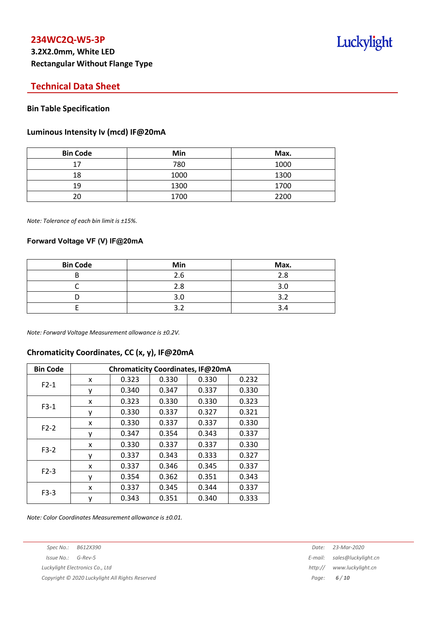## **Technical Data Sheet**

#### **Bin Table Specification**

#### **Luminous Intensity Iv (mcd) IF@20mA**

| <b>Bin Code</b> | Min  | Max. |
|-----------------|------|------|
| 17              | 780  | 1000 |
| 18              | 1000 | 1300 |
| 19              | 1300 | 1700 |
| 20              | 1700 | 2200 |

*Note: Tolerance of each bin limit is ±15%.*

#### **Forward Voltage VF (V) IF@20mA**

| <b>Bin Code</b> | Min | Max. |
|-----------------|-----|------|
|                 | 2.6 | 2.8  |
|                 | 2.8 |      |
|                 | 3.0 |      |
|                 |     |      |

*Note: Forward Voltage Measurement allowance is ±0.2V.*

#### **Chromaticity Coordinates, CC (x, y), IF@20mA**

| <b>Bin Code</b> | Chromaticity Coordinates, IF@20mA |       |       |       |       |  |  |
|-----------------|-----------------------------------|-------|-------|-------|-------|--|--|
| $F2-1$          | x                                 | 0.323 | 0.330 | 0.330 | 0.232 |  |  |
|                 | ٧                                 | 0.340 | 0.347 | 0.337 | 0.330 |  |  |
|                 | x                                 | 0.323 | 0.330 | 0.330 | 0.323 |  |  |
| $F3-1$          | ٧                                 | 0.330 | 0.337 | 0.327 | 0.321 |  |  |
| $F2-2$          | X                                 | 0.330 | 0.337 | 0.337 | 0.330 |  |  |
|                 | у                                 | 0.347 | 0.354 | 0.343 | 0.337 |  |  |
| $F3-2$          | x                                 | 0.330 | 0.337 | 0.337 | 0.330 |  |  |
|                 | ٧                                 | 0.337 | 0.343 | 0.333 | 0.327 |  |  |
| $F2-3$          | x                                 | 0.337 | 0.346 | 0.345 | 0.337 |  |  |
|                 | ٧                                 | 0.354 | 0.362 | 0.351 | 0.343 |  |  |
| $F3-3$          | x                                 | 0.337 | 0.345 | 0.344 | 0.337 |  |  |
|                 | у                                 | 0.343 | 0.351 | 0.340 | 0.333 |  |  |

*Note: Color Coordinates Measurement allowance is ±0.01.*

*Copyright © 2020 Luckylight All Rights Reserved Page: 6 / 10*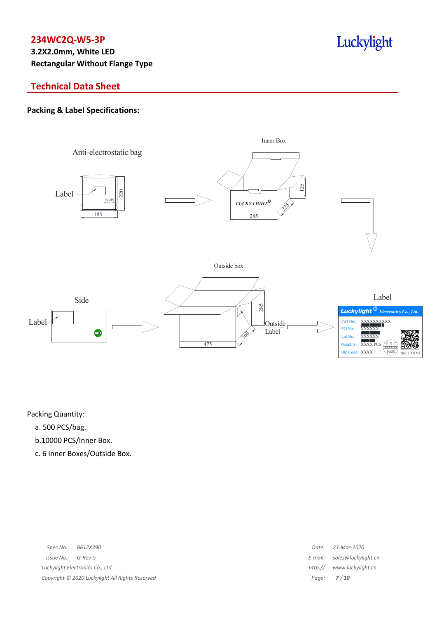# **3.2X2.0mm, White LED Rectangular Without Flange Type**

## **Technical Data Sheet**

### **Packing & Label Specifications:**



Packing Quantity:

- a. 500 PCS/bag.
- b.10000 PCS/Inner Box.
- c. 6 Inner Boxes/Outside Box.

| Spec No.: B612X390                              | Date:   | 23-Mar-2020                 |
|-------------------------------------------------|---------|-----------------------------|
| $Issue No.: G-Rev-5$                            |         | E-mail: sales@luckylight.cn |
| Luckylight Electronics Co., Ltd                 | http:// | www.luckylight.cn           |
| Copyright © 2020 Luckylight All Rights Reserved |         | Page: <b>7/10</b>           |

# Luckylight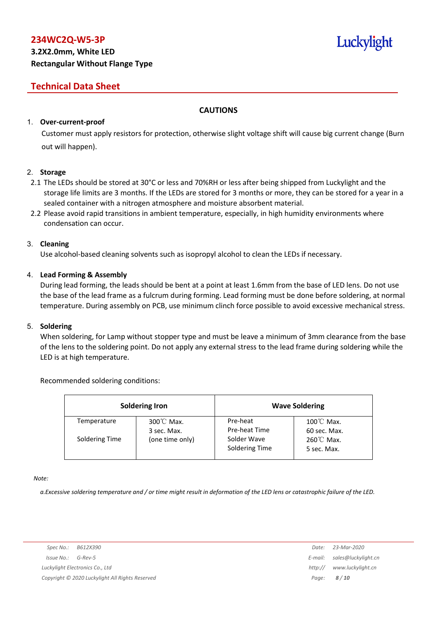## **Technical Data Sheet**

#### **CAUTIONS**

#### 1. **Over-current-proof**

Customer must apply resistors for protection, otherwise slight voltage shift will cause big current change (Burn out will happen).

#### 2. **Storage**

- 2.1 The LEDs should be stored at 30°C or less and 70%RH or less after being shipped from Luckylight and the storage life limits are 3 months. If the LEDs are stored for 3 months or more, they can be stored for a year in a sealed container with a nitrogen atmosphere and moisture absorbent material.
- 2.2 Please avoid rapid transitions in ambient temperature, especially, in high humidity environments where condensation can occur.

#### 3. **Cleaning**

Use alcohol-based cleaning solvents such as isopropyl alcohol to clean the LEDs if necessary.

#### 4. **Lead Forming & Assembly**

During lead forming, the leads should be bent at a point at least 1.6mm from the base of LED lens. Do not use the base of the lead frame as a fulcrum during forming. Lead forming must be done before soldering, at normal temperature. During assembly on PCB, use minimum clinch force possible to avoid excessive mechanical stress.

#### 5. **Soldering**

When soldering, for Lamp without stopper type and must be leave a minimum of 3mm clearance from the base of the lens to the soldering point. Do not apply any external stress to the lead frame during soldering while the LED is at high temperature.

#### Recommended soldering conditions:

| <b>Soldering Iron</b> |                                     |                               | <b>Wave Soldering</b>                |
|-----------------------|-------------------------------------|-------------------------------|--------------------------------------|
| Temperature           | $300^{\circ}$ C Max.<br>3 sec. Max. | Pre-heat<br>Pre-heat Time     | $100^{\circ}$ C Max.<br>60 sec. Max. |
| Soldering Time        | (one time only)                     | Solder Wave<br>Soldering Time | $260^{\circ}$ C Max.<br>5 sec. Max.  |

*Note:*

a. Excessive soldering temperature and / or time might result in deformation of the LED lens or catastrophic failure of the LED.

Luckylight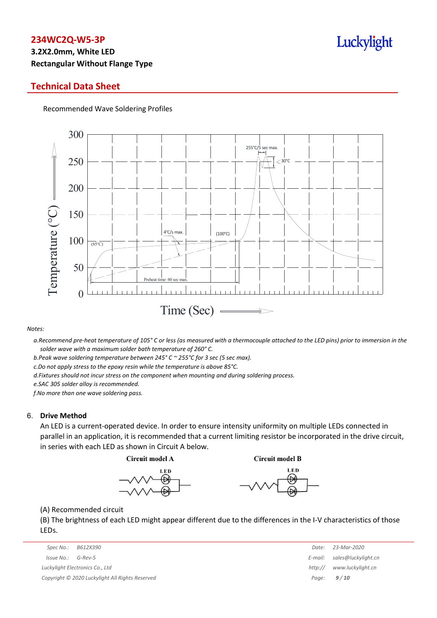# **3.2X2.0mm, White LED Rectangular Without Flange Type**

### **Technical Data Sheet**

Recommended Wave Soldering Profiles



#### *Notes:*

a. Recommend pre-heat temperature of 105° C or less (as measured with a thermocouple attached to the LED pins) prior to immersion in the *solder wave with a maximum solder bath temperature of 260° C.*

*b.Peak wave soldering temperature between 245° C ~ 255°C for 3 sec (5 sec max).*

*c.Do not apply stress to the epoxy resin while the temperature is above 85°C.*

*d.Fixtures should not incur stress on the component when mounting and during soldering process.*

*e.SAC 305 solder alloy is recommended.*

*f.No more than one wave soldering pass.*

#### 6. **Drive Method**

An LED is a current-operated device. In order to ensure intensity uniformity on multiple LEDs connected in parallel in an application, it is recommended that a current limiting resistor be incorporated in the drive circuit, in series with each LED as shown in Circuit A below.

**Circuit model A** 

**Circuit model B** 





(A) Recommended circuit

(B) The brightness of each LED might appear different due to the differences in the I-V characteristics of those LEDs.

| Spec No.:<br>B612X390                           | Date:   | 23-Mar-2020                 |
|-------------------------------------------------|---------|-----------------------------|
| Issue No.:<br>G-Rev-5                           |         | E-mail: sales@luckylight.cn |
| Luckylight Electronics Co., Ltd                 | http:// | www.luckylight.cn           |
| Copyright © 2020 Luckylight All Rights Reserved |         | Page: $9/10$                |

| Date:   | 23-Mar-2020         |
|---------|---------------------|
| E-mail: | sales@luckylight.cn |
| http:// | www.luckylight.cn   |
| Page:   | 9/10                |